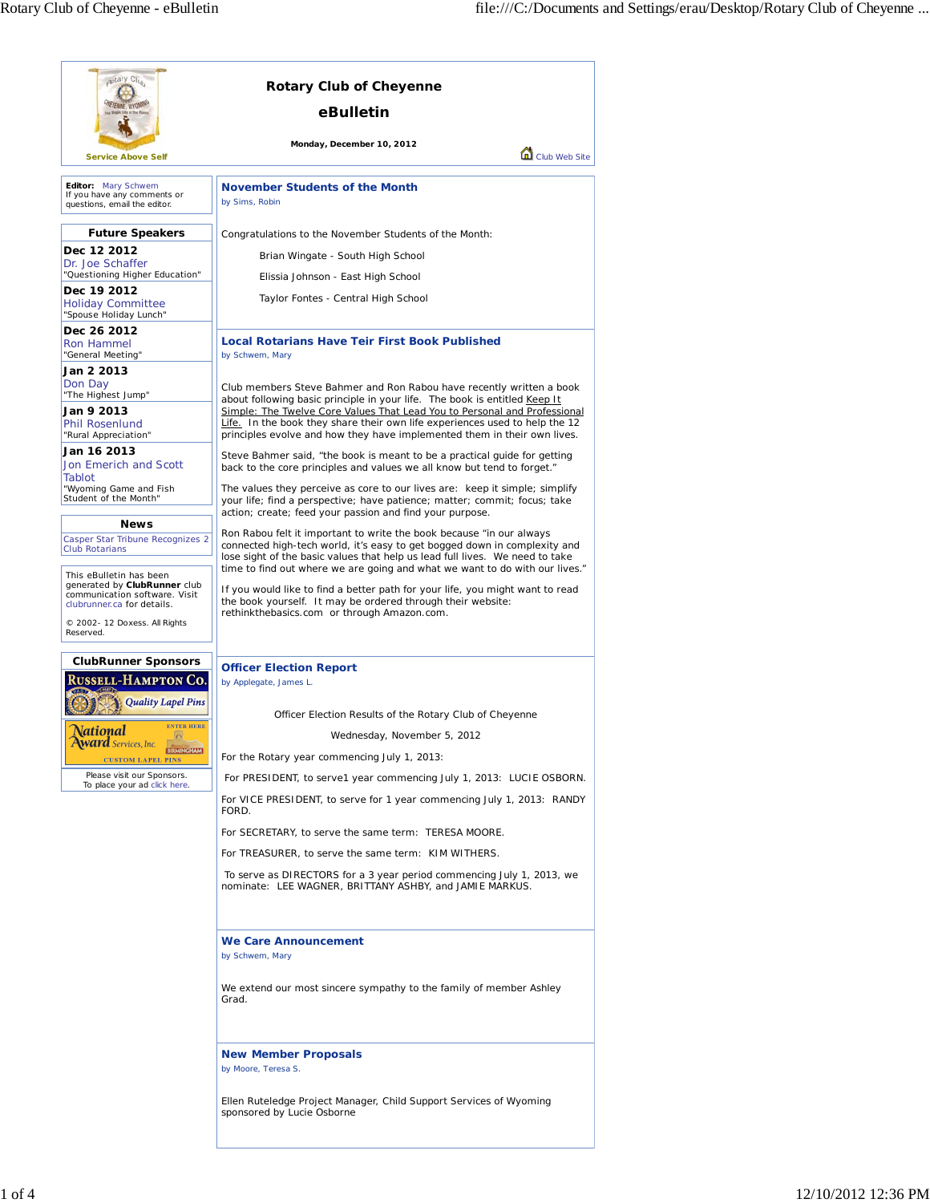| aptary Club                                                                                                            | <b>Rotary Club of Cheyenne</b>                                                                                                                                                                                                           |
|------------------------------------------------------------------------------------------------------------------------|------------------------------------------------------------------------------------------------------------------------------------------------------------------------------------------------------------------------------------------|
|                                                                                                                        | eBulletin                                                                                                                                                                                                                                |
| <b>Service Above Self</b>                                                                                              | Monday, December 10, 2012<br>Club Web Site                                                                                                                                                                                               |
| Editor: Mary Schwem                                                                                                    | <b>November Students of the Month</b>                                                                                                                                                                                                    |
| If you have any comments or<br>questions, email the editor.                                                            | by Sims, Robin                                                                                                                                                                                                                           |
| <b>Future Speakers</b>                                                                                                 | Congratulations to the November Students of the Month:                                                                                                                                                                                   |
| Dec 12 2012<br>Dr. Joe Schaffer                                                                                        | Brian Wingate - South High School                                                                                                                                                                                                        |
| "Questioning Higher Education"                                                                                         | Elissia Johnson - East High School                                                                                                                                                                                                       |
| Dec 19 2012<br><b>Holiday Committee</b><br>"Spouse Holiday Lunch"                                                      | Taylor Fontes - Central High School                                                                                                                                                                                                      |
| Dec 26 2012<br>Ron Hammel<br>"General Meeting"                                                                         | <b>Local Rotarians Have Teir First Book Published</b><br>by Schwem, Mary                                                                                                                                                                 |
| Jan 2 2013                                                                                                             |                                                                                                                                                                                                                                          |
| Don Day<br>"The Highest Jump"<br>Jan 9 2013                                                                            | Club members Steve Bahmer and Ron Rabou have recently written a book<br>about following basic principle in your life. The book is entitled Keep It<br>Simple: The Twelve Core Values That Lead You to Personal and Professional          |
| <b>Phil Rosenlund</b><br>"Rural Appreciation"                                                                          | Life. In the book they share their own life experiences used to help the 12<br>principles evolve and how they have implemented them in their own lives.                                                                                  |
| Jan 16 2013<br>Jon Emerich and Scott<br>Tablot                                                                         | Steve Bahmer said, "the book is meant to be a practical guide for getting<br>back to the core principles and values we all know but tend to forget."                                                                                     |
| "Wyoming Game and Fish<br>Student of the Month"                                                                        | The values they perceive as core to our lives are: keep it simple; simplify<br>your life; find a perspective; have patience; matter; commit; focus; take<br>action; create; feed your passion and find your purpose.                     |
| <b>News</b>                                                                                                            | Ron Rabou felt it important to write the book because "in our always"                                                                                                                                                                    |
| Casper Star Tribune Recognizes 2<br><b>Club Rotarians</b>                                                              | connected high-tech world, it's easy to get bogged down in complexity and<br>lose sight of the basic values that help us lead full lives. We need to take<br>time to find out where we are going and what we want to do with our lives." |
| This eBulletin has been<br>generated by ClubRunner club<br>communication software. Visit<br>clubrunner.ca for details. | If you would like to find a better path for your life, you might want to read<br>the book yourself. It may be ordered through their website:                                                                                             |
| © 2002- 12 Doxess. All Rights<br>Reserved.                                                                             | rethinkthebasics.com or through Amazon.com.                                                                                                                                                                                              |
| <b>ClubRunner Sponsors</b>                                                                                             | <b>Officer Election Report</b>                                                                                                                                                                                                           |
| <b>USSELL-HAMPTON CO.</b><br><b>Quality Lapel Pins</b>                                                                 | by Applegate, James L.                                                                                                                                                                                                                   |
| <b>ENTER HERE</b>                                                                                                      | Officer Election Results of the Rotary Club of Cheyenne                                                                                                                                                                                  |
| <u>\ational</u><br>$\circ$<br><b>Award</b> Services, Inc.                                                              | Wednesday, November 5, 2012                                                                                                                                                                                                              |
| BIRMINGHAM<br><b>CUSTOM LAPEL PINS</b>                                                                                 | For the Rotary year commencing July 1, 2013:                                                                                                                                                                                             |
| Please visit our Sponsors.<br>To place your ad click here.                                                             | For PRESIDENT, to serve1 year commencing July 1, 2013: LUCIE OSBORN.                                                                                                                                                                     |
|                                                                                                                        | For VICE PRESIDENT, to serve for 1 year commencing July 1, 2013: RANDY<br>FORD.                                                                                                                                                          |
|                                                                                                                        | For SECRETARY, to serve the same term: TERESA MOORE.                                                                                                                                                                                     |
|                                                                                                                        | For TREASURER, to serve the same term: KIM WITHERS.                                                                                                                                                                                      |
|                                                                                                                        | To serve as DIRECTORS for a 3 year period commencing July 1, 2013, we<br>nominate: LEE WAGNER, BRITTANY ASHBY, and JAMIE MARKUS.                                                                                                         |
|                                                                                                                        | We Care Announcement<br>by Schwem, Mary                                                                                                                                                                                                  |
|                                                                                                                        | We extend our most sincere sympathy to the family of member Ashley<br>Grad.                                                                                                                                                              |
|                                                                                                                        | <b>New Member Proposals</b><br>by Moore, Teresa S.                                                                                                                                                                                       |
|                                                                                                                        | Ellen Ruteledge Project Manager, Child Support Services of Wyoming<br>sponsored by Lucie Osborne                                                                                                                                         |
|                                                                                                                        |                                                                                                                                                                                                                                          |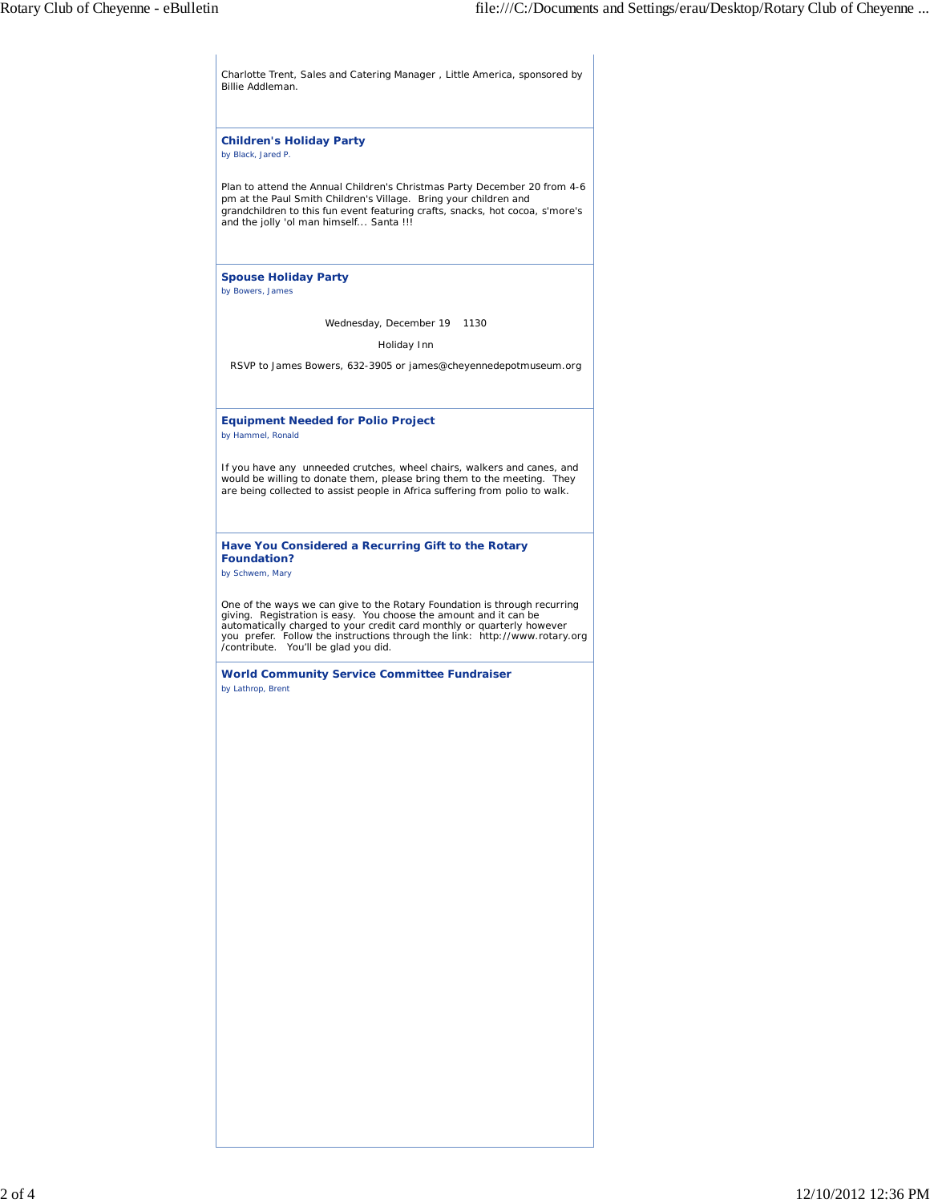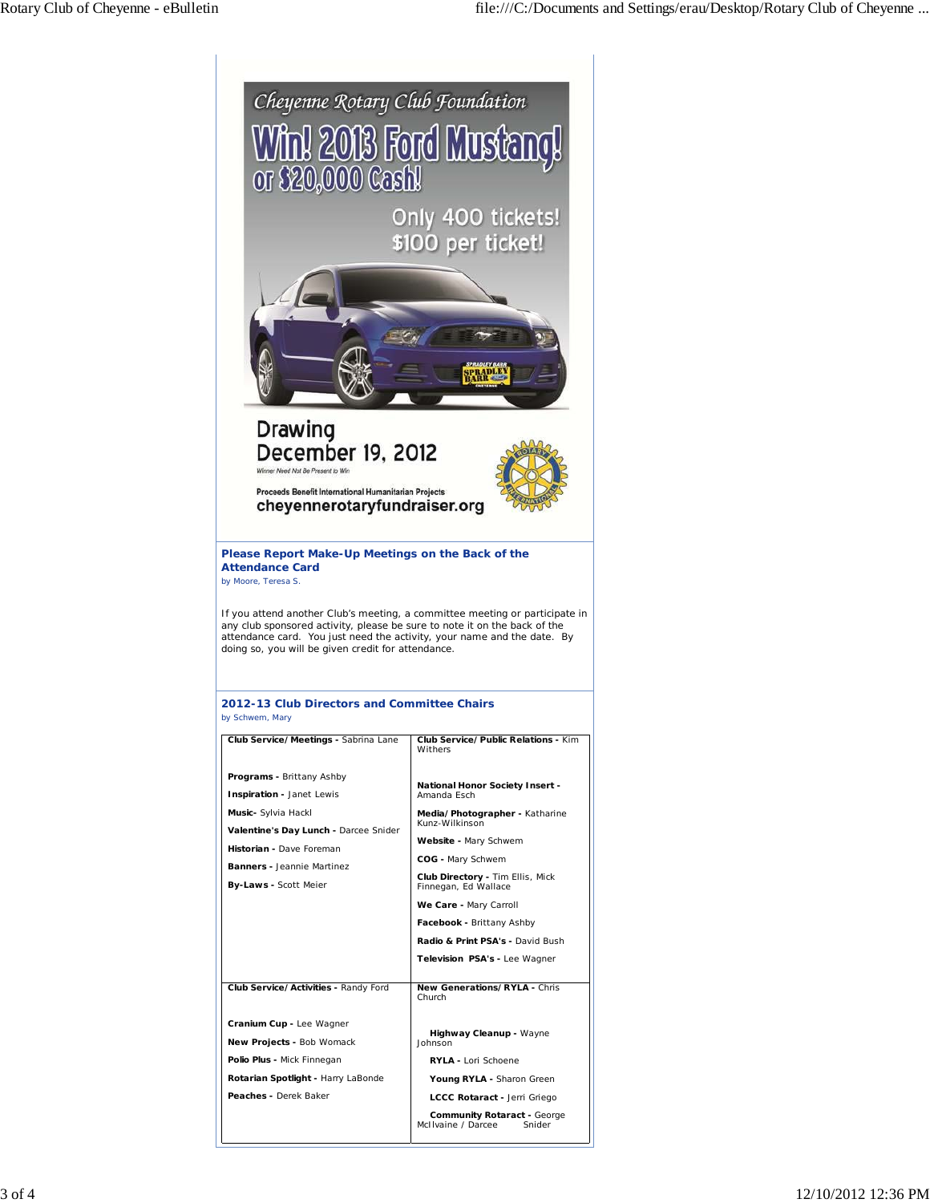